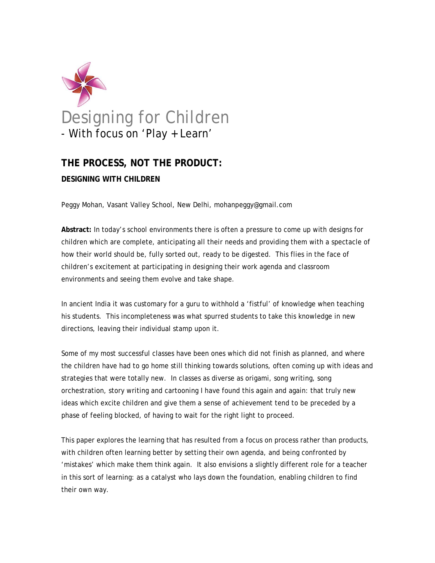

# **THE PROCESS, NOT THE PRODUCT:**

#### **DESIGNING WITH CHILDREN**

Peggy Mohan, Vasant Valley School, New Delhi, mohanpeggy@gmail.com

**Abstract:** In today's school environments there is often a pressure to come up with designs for children which are complete, anticipating all their needs and providing them with a spectacle of how their world should be, fully sorted out, ready to be digested. This flies in the face of children's excitement at participating in designing their work agenda and classroom environments and seeing them evolve and take shape.

In ancient India it was customary for a guru to withhold a 'fistful' of knowledge when teaching his students. This incompleteness was what spurred students to take this knowledge in new directions, leaving their individual stamp upon it.

Some of my most successful classes have been ones which did not finish as planned, and where the children have had to go home still thinking towards solutions, often coming up with ideas and strategies that were totally new. In classes as diverse as origami, song writing, song orchestration, story writing and cartooning I have found this again and again: that truly new ideas which excite children and give them a sense of achievement tend to be preceded by a phase of feeling blocked, of having to wait for the right light to proceed.

This paper explores the learning that has resulted from a focus on process rather than products, with children often learning better by setting their own agenda, and being confronted by 'mistakes' which make them think again. It also envisions a slightly different role for a teacher in this sort of learning: as a catalyst who lays down the foundation, enabling children to find their own way.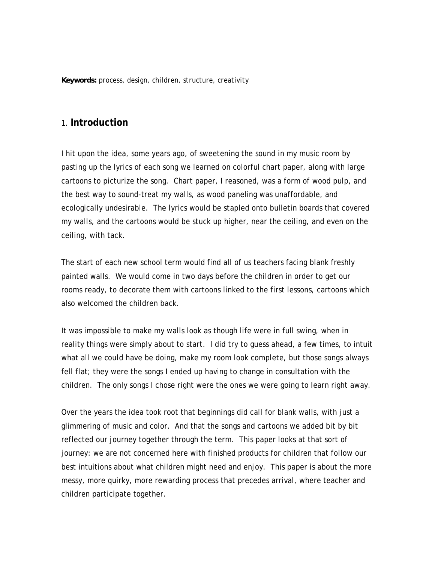*Keywords: process, design, children, structure, creativity* 

#### 1. **Introduction**

I hit upon the idea, some years ago, of sweetening the sound in my music room by pasting up the lyrics of each song we learned on colorful chart paper, along with large cartoons to picturize the song. Chart paper, I reasoned, was a form of wood pulp, and the best way to sound-treat my walls, as wood paneling was unaffordable, and ecologically undesirable. The lyrics would be stapled onto bulletin boards that covered my walls, and the cartoons would be stuck up higher, near the ceiling, and even on the ceiling, with tack.

The start of each new school term would find all of us teachers facing blank freshly painted walls. We would come in two days before the children in order to get our rooms ready, to decorate them with cartoons linked to the first lessons, cartoons which also welcomed the children back.

It was impossible to make my walls look as though life were in full swing, when in reality things were simply about to start. I did try to guess ahead, a few times, to intuit what all we *could have* be doing, make my room look complete, but those songs always fell flat; they were the songs I ended up having to change in consultation with the children. The only songs I chose right were the ones we were going to learn right away.

Over the years the idea took root that beginnings did call for blank walls, with just a glimmering of music and color. And that the songs and cartoons we added bit by bit reflected our journey together through the term. This paper looks at that sort of journey: we are not concerned here with finished products for children that follow our best intuitions about what children might need and enjoy. This paper is about the more messy, more quirky, more rewarding process that precedes arrival, where teacher and children participate together.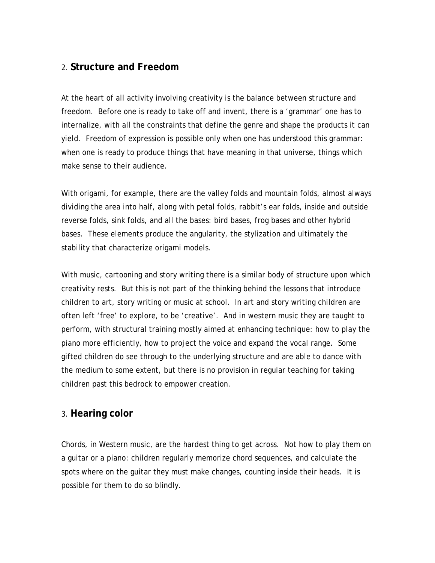# 2. **Structure and Freedom**

At the heart of all activity involving creativity is the balance between structure and freedom. Before one is ready to take off and invent, there is a 'grammar' one has to internalize, with all the constraints that define the genre and shape the products it can yield. Freedom of expression is possible only when one has understood this grammar: when one is ready to produce things that have meaning in that universe, things which make sense to their audience.

With origami, for example, there are the valley folds and mountain folds, almost always dividing the area into half, along with petal folds, rabbit's ear folds, inside and outside reverse folds, sink folds, and all the bases: bird bases, frog bases and other hybrid bases. These elements produce the angularity, the stylization and ultimately the stability that characterize origami models.

With music, cartooning and story writing there is a similar body of structure upon which creativity rests. But this is not part of the thinking behind the lessons that introduce children to art, story writing or music at school. In art and story writing children are often left 'free' to explore, to be 'creative'. And in western music they are taught to perform, with structural training mostly aimed at enhancing technique: how to play the piano more efficiently, how to project the voice and expand the vocal range. Some gifted children do see through to the underlying structure and are able to dance with the medium to some extent, but there is no provision in regular teaching for taking children past this bedrock to empower creation.

### 3. **Hearing color**

Chords, in Western music, are the hardest thing to get across. Not *how* to play them on a guitar or a piano: children regularly memorize chord sequences, and calculate the spots where on the guitar they must make changes, counting inside their heads. It is possible for them to do so blindly.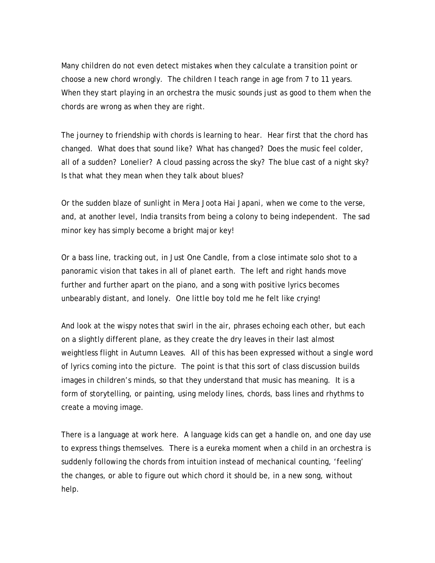Many children do not even detect mistakes when they calculate a transition point or choose a new chord wrongly. The children I teach range in age from 7 to 11 years. When they start playing in an orchestra the music sounds just as good to them when the chords are wrong as when they are right.

The journey to friendship with chords is learning to *hear*. Hear first that the chord has changed. What does that sound like? What has changed? Does the music feel colder, all of a sudden? Lonelier? A cloud passing across the sky? The blue cast of a night sky? Is that what they mean when they talk about blues?

Or the sudden blaze of sunlight in *Mera Joota Hai Japani*, when we come to the verse, and, at another level, India transits from being a colony to being independent. The sad minor key has simply become a bright major key!

Or a bass line, tracking out, in *Just One Candle*, from a close intimate solo shot to a panoramic vision that takes in all of planet earth. The left and right hands move further and further apart on the piano, and a song with positive lyrics becomes unbearably distant, and lonely. One little boy told me he felt like crying!

And look at the wispy notes that swirl in the air, phrases echoing each other, but each on a slightly different plane, as they create the dry leaves in their last almost weightless flight in *Autumn Leaves*. All of this has been expressed without a single word of lyrics coming into the picture. The point is that this sort of class discussion builds images in children's minds, so that they understand that music has meaning. It is a form of storytelling, or painting, using melody lines, chords, bass lines and rhythms to create a moving image.

There is a language at work here. A language kids can get a handle on, and one day use to express things themselves. There is a eureka moment when a child in an orchestra is suddenly following the chords from intuition instead of mechanical counting, 'feeling' the changes, or able to figure out which chord it should be, in a new song, without help.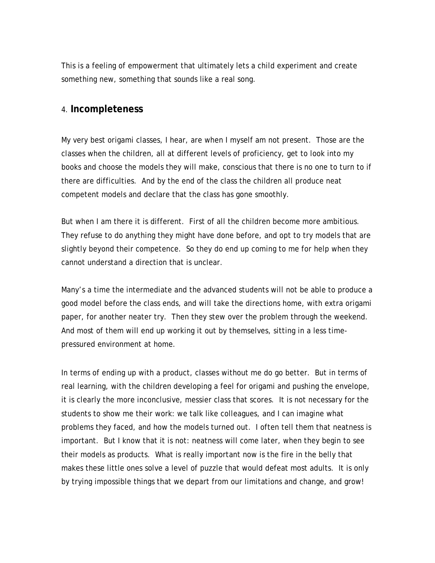This is a feeling of empowerment that ultimately lets a child experiment and create something new, something that sounds like a real song.

#### 4. **Incompleteness**

My very best origami classes, I hear, are when I myself am not present. Those are the classes when the children, all at different levels of proficiency, get to look into my books and choose the models they will make, conscious that there is no one to turn to if there are difficulties. And by the end of the class the children all produce neat competent models and declare that the class has gone smoothly.

But when I am there it is different. First of all the children become more ambitious. They refuse to do anything they might have done before, and opt to try models that are slightly beyond their competence. So they do end up coming to me for help when they cannot understand a direction that is unclear.

Many's a time the intermediate and the advanced students will not be able to produce a good model before the class ends, and will take the directions home, with extra origami paper, for another neater try. Then they stew over the problem through the weekend. And most of them will end up working it out by themselves, sitting in a less timepressured environment at home.

In terms of ending up with a product, classes without me do go better. But in terms of real learning, with the children developing a feel for origami and pushing the envelope, it is clearly the more inconclusive, messier class that scores. It is not necessary for the students to show me their work: we talk like colleagues, and I can imagine what problems they faced, and how the models turned out. I often tell them that neatness is important. But I know that it is not: neatness will come later, when they begin to see their models as products. What is really important now is the fire in the belly that makes these little ones solve a level of puzzle that would defeat most adults. It is only by trying impossible things that we depart from our limitations and change, and grow!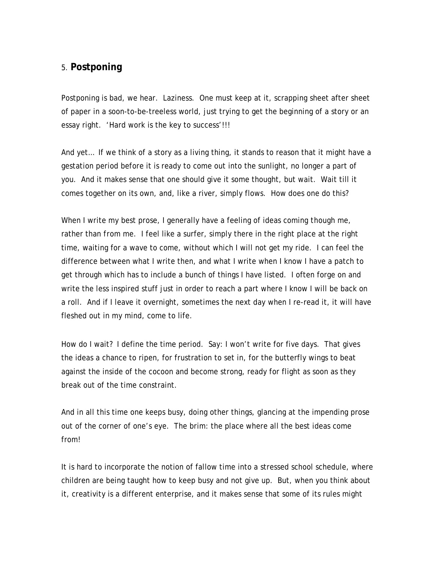# 5. **Postponing**

Postponing is bad, we hear. Laziness. One must keep at it, scrapping sheet after sheet of paper in a soon-to-be-treeless world, just trying to get the beginning of a story or an essay right. 'Hard work is the key to success'!!!

And yet… If we think of a story as a living thing, it stands to reason that it might have a gestation period before it is ready to come out into the sunlight, no longer a part of you. And it makes sense that one should give it some thought, but wait. Wait till it comes together on its own, and, like a river, simply flows. How does one do this?

When I write my best prose, I generally have a feeling of ideas coming *though* me, rather than *from* me. I feel like a surfer, simply there in the right place at the right time, waiting for a wave to come, without which I will not get my ride. I can feel the difference between what I write then, and what I write when I know I have a patch to get through which has to include a bunch of things I have listed. I often forge on and write the less inspired stuff just in order to reach a part where I know I will be back on a roll. And if I leave it overnight, sometimes the next day when I re-read it, it will have fleshed out in my mind, come to life.

How do I wait? I define the time period. Say: I won't write for five days. That gives the ideas a chance to ripen, for frustration to set in, for the butterfly wings to beat against the inside of the cocoon and become strong, ready for flight as soon as they break out of the time constraint.

And in all this time one keeps busy, doing other things, glancing at the impending prose out of the corner of one's eye. The brim: the place where all the best ideas come from!

It is hard to incorporate the notion of fallow time into a stressed school schedule, where children are being taught how to keep busy and not give up. But, when you think about it, creativity is a different enterprise, and it makes sense that some of its rules might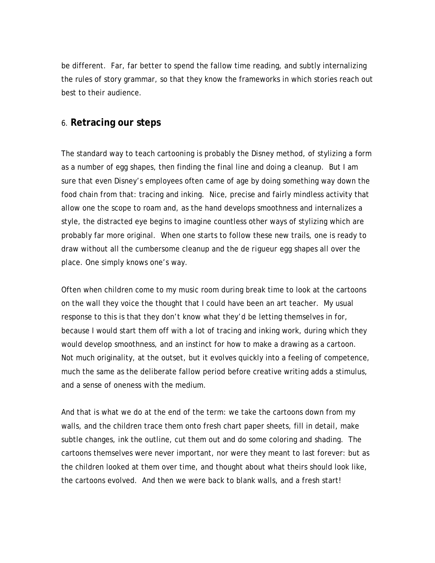be different. Far, far better to spend the fallow time reading, and subtly internalizing the rules of story grammar, so that they know the frameworks in which stories reach out best to their audience.

#### 6. **Retracing our steps**

The standard way to teach cartooning is probably the Disney method, of stylizing a form as a number of egg shapes, then finding the final line and doing a cleanup. But I am sure that even Disney's employees often came of age by doing something way down the food chain from that: tracing and inking. Nice, precise and fairly mindless activity that allow one the scope to roam and, as the hand develops smoothness and internalizes a style, the distracted eye begins to imagine countless other ways of stylizing which are probably far more original. When one starts to follow these new trails, one is ready to draw without all the cumbersome cleanup and the *de rigueur* egg shapes all over the place. One simply knows one's way.

Often when children come to my music room during break time to look at the cartoons on the wall they voice the thought that I could have been an art teacher. My usual response to this is that they don't know what they'd be letting themselves in for, because I would start them off with a lot of tracing and inking work, during which they would develop smoothness, and an instinct for how to make a drawing as a cartoon. Not much originality, at the outset, but it evolves quickly into a feeling of competence, much the same as the deliberate fallow period before creative writing adds a stimulus, and a sense of oneness with the medium.

And that is what we do at the end of the term: we take the cartoons down from my walls, and the children trace them onto fresh chart paper sheets, fill in detail, make subtle changes, ink the outline, cut them out and do some coloring and shading. The cartoons themselves were never important, nor were they meant to last forever: but as the children looked at them over time, and thought about what theirs should look like, the cartoons evolved. And then we were back to blank walls, and a fresh start!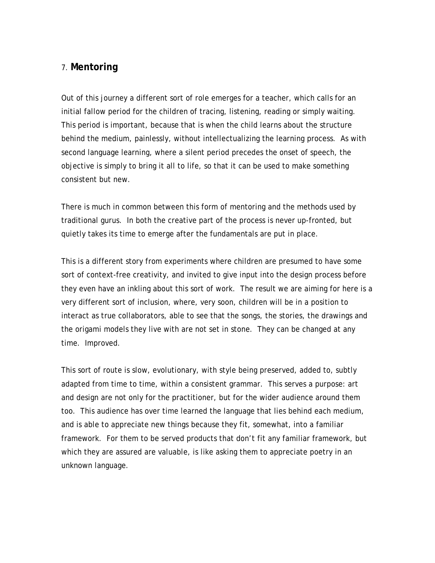### 7. **Mentoring**

Out of this journey a different sort of role emerges for a teacher, which calls for an initial fallow period for the children of tracing, listening, reading or simply waiting. This period is important, because that is when the child learns about the structure behind the medium, painlessly, without intellectualizing the learning process. As with second language learning, where a silent period precedes the onset of speech, the objective is simply to bring it all to life, so that it can be used to make something consistent but new.

There is much in common between this form of mentoring and the methods used by traditional gurus. In both the creative part of the process is never up-fronted, but quietly takes its time to emerge after the fundamentals are put in place.

This is a different story from experiments where children are presumed to have some sort of context-free creativity, and invited to give input into the design process before they even have an inkling about this sort of work. The result we are aiming for here is a very different sort of inclusion, where, very soon, children will be in a position to interact as true collaborators, able to see that the songs, the stories, the drawings and the origami models they live with are not set in stone. They can be changed at any time. Improved.

This sort of route is slow, evolutionary, with style being preserved, added to, subtly adapted from time to time, within a consistent grammar. This serves a purpose: art and design are not only for the practitioner, but for the wider audience around them too. This audience has over time learned the language that lies behind each medium, and is able to appreciate new things because they fit, somewhat, into a familiar framework. For them to be served products that don't fit any familiar framework, but which they are assured are valuable, is like asking them to appreciate poetry in an unknown language.